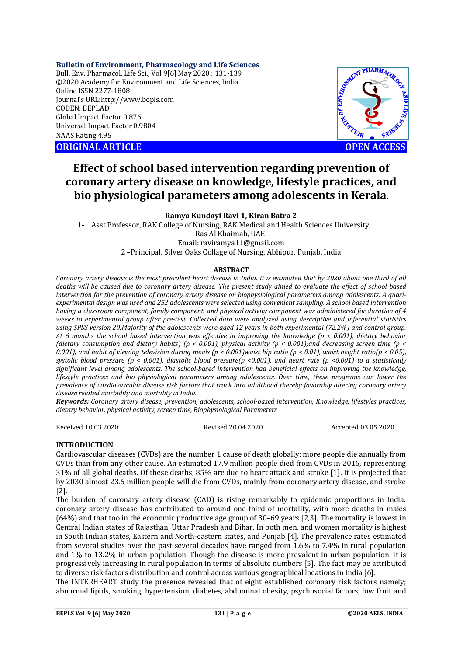# **Bulletin of Environment, Pharmacology and Life Sciences**

Bull. Env. Pharmacol. Life Sci., Vol 9[6] May 2020 : 131-139 ©2020 Academy for Environment and Life Sciences, India Online ISSN 2277-1808 Journal's URL:<http://www.bepls.com> CODEN: BEPLAD Global Impact Factor 0.876 Universal Impact Factor 0.9804 NAAS Rating 4.95

**ORIGINAL ARTICLE** AND **OPEN ACCESS** 



# **Effect of school based intervention regarding prevention of coronary artery disease on knowledge, lifestyle practices, and bio physiological parameters among adolescents in Kerala.**

# **Ramya Kundayi Ravi 1, Kiran Batra 2**

1- Asst Professor, RAK College of Nursing, RAK Medical and Health Sciences University, Ras Al Khaimah, UAE. Email: [raviramya11@gmail.com](mailto:raviramya11@gmail.com)

2 –Principal, Silver Oaks Collage of Nursing, Abhipur, Punjab, India

# **ABSTRACT**

*Coronary artery disease is the most prevalent heart disease in India. It is estimated that by 2020 about one third of all deaths will be caused due to coronary artery disease. The present study aimed to evaluate the effect of school based intervention for the prevention of coronary artery disease on biophysiological parameters among adolescents. A quasiexperimental design was used and 252 adolescents were selected using convenient sampling. A school based intervention having a classroom component, family component, and physical activity component was administered for duration of 4 weeks to experimental group after pre-test. Collected data were analyzed using descriptive and inferential statistics using SPSS version 20.Majority of the adolescents were aged 12 years in both experimental (72.2%) and control group. At 6 months the school based intervention was effective in improving the knowledge (p < 0.001), dietary behavior (dietary consumption and dietary habits) (p < 0.001), physical activity (p < 0.001);and decreasing screen time (p < 0.001), and habit of viewing television during meals (p < 0.001)waist hip ratio (p < 0.01), waist height ratio(p < 0.05), systolic blood pressure (p < 0.001), diastolic blood pressure(p <0.001), and heart rate (p <0.001) to a statistically significant level among adolescents. The school-based intervention had beneficial effects on improving the knowledge, lifestyle practices and bio physiological parameters among adolescents. Over time, these programs can lower the prevalence of cardiovascular disease risk factors that track into adulthood thereby favorably altering coronary artery disease related morbidity and mortality in India.*

*Keywords: Coronary artery disease, prevention, adolescents, school-based intervention, Knowledge, lifestyles practices, dietary behavior, physical activity, screen time, Biophysiological Parameters*

Received 10.03.2020 Revised 20.04.2020 Accepted 03.05.2020

# **INTRODUCTION**

Cardiovascular diseases (CVDs) are the number 1 cause of death globally: more people die annually from CVDs than from any other cause. An estimated 17.9 million people died from CVDs in 2016, representing 31% of all global deaths. Of these deaths, 85% are due to heart attack and stroke [1]. It is projected that by 2030 almost 23.6 million people will die from CVDs, mainly from coronary artery disease, and stroke [2].

The burden of coronary artery disease (CAD) is rising remarkably to epidemic proportions in India. coronary artery disease has contributed to around one-third of mortality, with more deaths in males (64%) and that too in the economic productive age group of 30–69 years [2,3]. The mortality is lowest in Central Indian states of Rajasthan, Uttar Pradesh and Bihar. In both men, and women mortality is highest in South Indian states, Eastern and North-eastern states, and Punjab [4]. The prevalence rates estimated from several studies over the past several decades have ranged from 1.6% to 7.4% in rural population and 1% to 13.2% in urban population. Though the disease is more prevalent in urban population, it is progressively increasing in rural population in terms of absolute numbers [5]. The fact may be attributed to diverse risk factors distribution and control across various geographical locations in India [6].

The INTERHEART study the presence revealed that of eight established coronary risk factors namely; abnormal lipids, smoking, hypertension, diabetes, abdominal obesity, psychosocial factors, low fruit and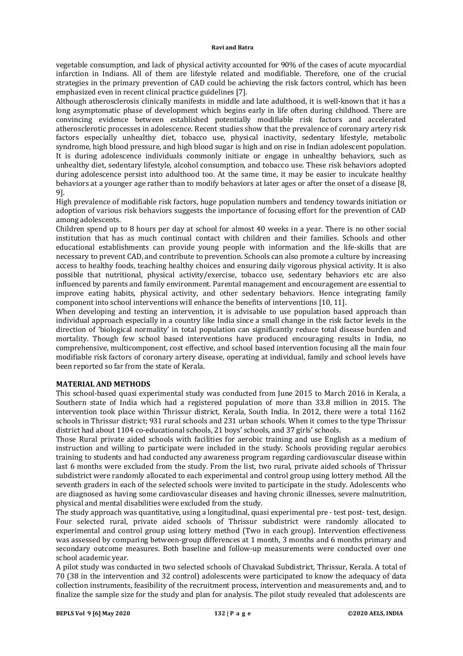vegetable consumption, and lack of physical activity accounted for 90% of the cases of acute myocardial infarction in Indians. All of them are lifestyle related and modifiable. Therefore, one of the crucial strategies in the primary prevention of CAD could be achieving the risk factors control, which has been emphasized even in recent clinical practice guidelines [7].

Although atherosclerosis clinically manifests in middle and late adulthood, it is well-known that it has a long asymptomatic phase of development which begins early in life often during childhood. There are convincing evidence between established potentially modifiable risk factors and accelerated atherosclerotic processes in adolescence. Recent studies show that the prevalence of coronary artery risk factors especially unhealthy diet, tobacco use, physical inactivity, sedentary lifestyle, metabolic syndrome, high blood pressure, and high blood sugar is high and on rise in Indian adolescent population. It is during adolescence individuals commonly initiate or engage in unhealthy behaviors, such as unhealthy diet, sedentary lifestyle, alcohol consumption, and tobacco use. These risk behaviors adopted during adolescence persist into adulthood too. At the same time, it may be easier to inculcate healthy behaviors at a younger age rather than to modify behaviors at later ages or after the onset of a disease [8, 9].

High prevalence of modifiable risk factors, huge population numbers and tendency towards initiation or adoption of various risk behaviors suggests the importance of focusing effort for the prevention of CAD among adolescents.

Children spend up to 8 hours per day at school for almost 40 weeks in a year. There is no other social institution that has as much continual contact with children and their families. Schools and other educational establishments can provide young people with information and the life-skills that are necessary to prevent CAD, and contribute to prevention. Schools can also promote a culture by increasing access to healthy foods, teaching healthy choices and ensuring daily vigorous physical activity. It is also possible that nutritional, physical activity/exercise, tobacco use, sedentary behaviors etc are also influenced by parents and family environment. Parental management and encouragement are essential to improve eating habits, physical activity, and other sedentary behaviors. Hence integrating family component into school interventions will enhance the benefits of interventions [10, 11].

When developing and testing an intervention, it is advisable to use population based approach than individual approach especially in a country like India since a small change in the risk factor levels in the direction of 'biological normality' in total population can significantly reduce total disease burden and mortality. Though few school based interventions have produced encouraging results in India, no comprehensive, multicomponent, cost effective, and school based intervention focusing all the main four modifiable risk factors of coronary artery disease, operating at individual, family and school levels have been reported so far from the state of Kerala.

# **MATERIAL AND METHODS**

This school-based quasi experimental study was conducted from June 2015 to March 2016 in Kerala, a Southern state of India which had a registered population of more than 33.8 million in 2015. The intervention took place within Thrissur district, Kerala, South India. In 2012, there were a total 1162 schools in Thrissur district; 931 rural schools and 231 urban schools. When it comes to the type Thrissur district had about 1104 co-educational schools, 21 boys' schools, and 37 girls' schools.

Those Rural private aided schools with facilities for aerobic training and use English as a medium of instruction and willing to participate were included in the study. Schools providing regular aerobics training to students and had conducted any awareness program regarding cardiovascular disease within last 6 months were excluded from the study. From the list, two rural, private aided schools of Thrissur subdistrict were randomly allocated to each experimental and control group using lottery method. All the seventh graders in each of the selected schools were invited to participate in the study. Adolescents who are diagnosed as having some cardiovascular diseases and having chronic illnesses, severe malnutrition, physical and mental disabilities were excluded from the study.

The study approach was quantitative, using a longitudinal, quasi experimental pre - test post- test, design. Four selected rural, private aided schools of Thrissur subdistrict were randomly allocated to experimental and control group using lottery method (Two in each group). Intervention effectiveness was assessed by comparing between-group differences at 1 month, 3 months and 6 months primary and secondary outcome measures. Both baseline and follow-up measurements were conducted over one school academic year.

A pilot study was conducted in two selected schools of Chavakad Subdistrict, Thrissur, Kerala. A total of 70 (38 in the intervention and 32 control) adolescents were participated to know the adequacy of data collection instruments, feasibility of the recruitment process, intervention and measurements and, and to finalize the sample size for the study and plan for analysis. The pilot study revealed that adolescents are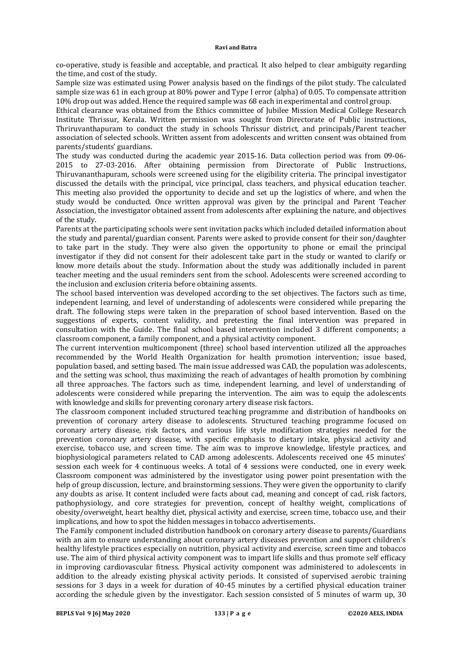co-operative, study is feasible and acceptable, and practical. It also helped to clear ambiguity regarding the time, and cost of the study.

Sample size was estimated using Power analysis based on the findings of the pilot study. The calculated sample size was 61 in each group at 80% power and Type I error (alpha) of 0.05. To compensate attrition 10% drop out was added. Hence the required sample was 68 each in experimental and control group.

Ethical clearance was obtained from the Ethics committee of Jubilee Mission Medical College Research Institute Thrissur, Kerala. Written permission was sought from Directorate of Public instructions, Thriruvanthapuram to conduct the study in schools Thrissur district, and principals/Parent teacher association of selected schools. Written assent from adolescents and written consent was obtained from parents/students' guardians.

The study was conducted during the academic year 2015-16. Data collection period was from 09-06- 2015 to 27-03-2016. After obtaining permission from Directorate of Public Instructions, Thiruvananthapuram, schools were screened using for the eligibility criteria. The principal investigator discussed the details with the principal, vice principal, class teachers, and physical education teacher. This meeting also provided the opportunity to decide and set up the logistics of where, and when the study would be conducted. Once written approval was given by the principal and Parent Teacher Association, the investigator obtained assent from adolescents after explaining the nature, and objectives of the study.

Parents at the participating schools were sent invitation packs which included detailed information about the study and parental/guardian consent. Parents were asked to provide consent for their son/daughter to take part in the study. They were also given the opportunity to phone or email the principal investigator if they did not consent for their adolescent take part in the study or wanted to clarify or know more details about the study. Information about the study was additionally included in parent teacher meeting and the usual reminders sent from the school. Adolescents were screened according to the inclusion and exclusion criteria before obtaining assents.

The school based intervention was developed according to the set objectives. The factors such as time, independent learning, and level of understanding of adolescents were considered while preparing the draft. The following steps were taken in the preparation of school based intervention. Based on the suggestions of experts, content validity, and pretesting the final intervention was prepared in consultation with the Guide. The final school based intervention included 3 different components; a classroom component, a family component, and a physical activity component.

The current intervention multicomponent (three) school based intervention utilized all the approaches recommended by the World Health Organization for health promotion intervention; issue based, population based, and setting based. The main issue addressed was CAD, the population was adolescents, and the setting was school, thus maximizing the reach of advantages of health promotion by combining all three approaches. The factors such as time, independent learning, and level of understanding of adolescents were considered while preparing the intervention. The aim was to equip the adolescents with knowledge and skills for preventing coronary artery disease risk factors.

The classroom component included structured teaching programme and distribution of handbooks on prevention of coronary artery disease to adolescents. Structured teaching programme focused on coronary artery disease, risk factors, and various life style modification strategies needed for the prevention coronary artery disease, with specific emphasis to dietary intake, physical activity and exercise, tobacco use, and screen time. The aim was to improve knowledge, lifestyle practices, and biophysiological parameters related to CAD among adolescents. Adolescents received one 45 minutes' session each week for 4 continuous weeks. A total of 4 sessions were conducted, one in every week. Classroom component was administered by the investigator using power point presentation with the help of group discussion, lecture, and brainstorming sessions. They were given the opportunity to clarify any doubts as arise. It content included were facts about cad, meaning and concept of cad, risk factors, pathophysiology, and core strategies for prevention, concept of healthy weight, complications of obesity/overweight, heart healthy diet, physical activity and exercise, screen time, tobacco use, and their implications, and how to spot the hidden messages in tobacco advertisements.

The Family component included distribution handbook on coronary artery disease to parents/Guardians with an aim to ensure understanding about coronary artery diseases prevention and support children's healthy lifestyle practices especially on nutrition, physical activity and exercise, screen time and tobacco use. The aim of third physical activity component was to impart life skills and thus promote self efficacy in improving cardiovascular fitness. Physical activity component was administered to adolescents in addition to the already existing physical activity periods. It consisted of supervised aerobic training sessions for 3 days in a week for duration of 40-45 minutes by a certified physical education trainer according the schedule given by the investigator. Each session consisted of 5 minutes of warm up, 30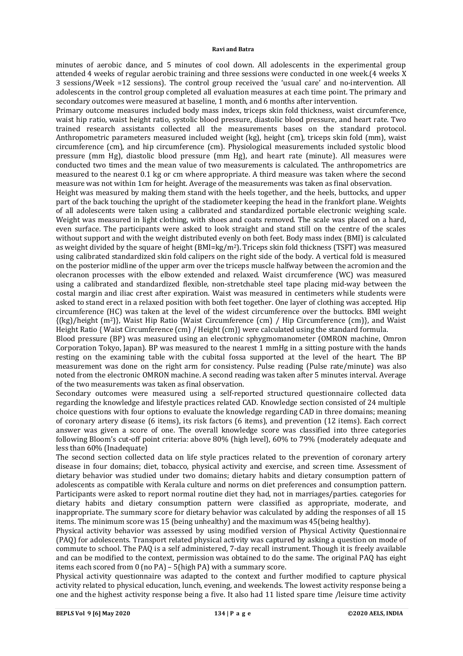minutes of aerobic dance, and 5 minutes of cool down. All adolescents in the experimental group attended 4 weeks of regular aerobic training and three sessions were conducted in one week.(4 weeks X 3 sessions/Week =12 sessions). The control group received the 'usual care' and no-intervention. All adolescents in the control group completed all evaluation measures at each time point. The primary and secondary outcomes were measured at baseline, 1 month, and 6 months after intervention.

Primary outcome measures included body mass index, triceps skin fold thickness, waist circumference, waist hip ratio, waist height ratio, systolic blood pressure, diastolic blood pressure, and heart rate. Two trained research assistants collected all the measurements bases on the standard protocol. Anthropometric parameters measured included weight (kg), height (cm), triceps skin fold (mm), waist circumference (cm), and hip circumference (cm). Physiological measurements included systolic blood pressure (mm Hg), diastolic blood pressure (mm Hg), and heart rate (minute). All measures were conducted two times and the mean value of two measurements is calculated. The anthropometrics are measured to the nearest 0.1 kg or cm where appropriate. A third measure was taken where the second measure was not within 1cm for height. Average of the measurements was taken as final observation.

Height was measured by making them stand with the heels together, and the heels, buttocks, and upper part of the back touching the upright of the stadiometer keeping the head in the frankfort plane. Weights of all adolescents were taken using a calibrated and standardized portable electronic weighing scale. Weight was measured in light clothing, with shoes and coats removed. The scale was placed on a hard, even surface. The participants were asked to look straight and stand still on the centre of the scales without support and with the weight distributed evenly on both feet. Body mass index (BMI) is calculated as weight divided by the square of height (BMI=kg/m2). Triceps skin fold thickness (TSFT) was measured using calibrated standardized skin fold calipers on the right side of the body. A vertical fold is measured on the posterior midline of the upper arm over the triceps muscle halfway between the acromion and the olecranon processes with the elbow extended and relaxed. Waist circumference (WC) was measured using a calibrated and standardized flexible, non-stretchable steel tape placing mid-way between the costal margin and iliac crest after expiration. Waist was measured in centimeters while students were asked to stand erect in a relaxed position with both feet together. One layer of clothing was accepted. Hip circumference (HC) was taken at the level of the widest circumference over the buttocks. BMI weight {(kg)/height (m2)}, Waist Hip Ratio {Waist Circumference (cm) / Hip Circumference (cm)}, and Waist Height Ratio { Waist Circumference (cm) / Height (cm)} were calculated using the standard formula.

Blood pressure (BP) was measured using an electronic sphygmomanometer (OMRON machine, Omron Corporation Tokyo, Japan). BP was measured to the nearest 1 mmHg in a sitting posture with the hands resting on the examining table with the cubital fossa supported at the level of the heart. The BP measurement was done on the right arm for consistency. Pulse reading (Pulse rate/minute) was also noted from the electronic OMRON machine. A second reading was taken after 5 minutes interval. Average of the two measurements was taken as final observation.

Secondary outcomes were measured using a self-reported structured questionnaire collected data regarding the knowledge and lifestyle practices related CAD. Knowledge section consisted of 24 multiple choice questions with four options to evaluate the knowledge regarding CAD in three domains; meaning of coronary artery disease (6 items), its risk factors (6 items), and prevention (12 items). Each correct answer was given a score of one. The overall knowledge score was classified into three categories following Bloom's cut-off point criteria: above 80% (high level), 60% to 79% (moderately adequate and less than 60% (Inadequate)

The second section collected data on life style practices related to the prevention of coronary artery disease in four domains; diet, tobacco, physical activity and exercise, and screen time. Assessment of dietary behavior was studied under two domains; dietary habits and dietary consumption pattern of adolescents as compatible with Kerala culture and norms on diet preferences and consumption pattern. Participants were asked to report normal routine diet they had, not in marriages/parties. categories for dietary habits and dietary consumption pattern were classified as appropriate, moderate, and inappropriate. The summary score for dietary behavior was calculated by adding the responses of all 15 items. The minimum score was 15 (being unhealthy) and the maximum was 45(being healthy).

Physical activity behavior was assessed by using modified version of Physical Activity Questionnaire (PAQ) for adolescents. Transport related physical activity was captured by asking a question on mode of commute to school. The PAQ is a self administered, 7-day recall instrument. Though it is freely available and can be modified to the context, permission was obtained to do the same. The original PAQ has eight items each scored from 0 (no PA) – 5(high PA) with a summary score.

Physical activity questionnaire was adapted to the context and further modified to capture physical activity related to physical education, lunch, evening, and weekends. The lowest activity response being a one and the highest activity response being a five. It also had 11 listed spare time /leisure time activity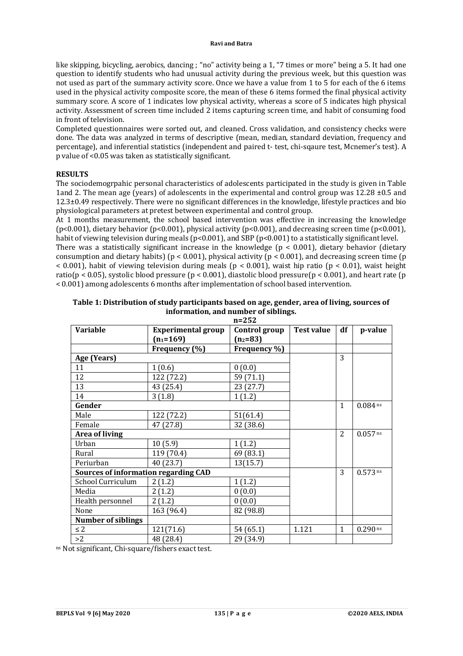like skipping, bicycling, aerobics, dancing ; "no" activity being a 1, "7 times or more" being a 5. It had one question to identify students who had unusual activity during the previous week, but this question was not used as part of the summary activity score. Once we have a value from 1 to 5 for each of the 6 items used in the physical activity composite score, the mean of these 6 items formed the final physical activity summary score. A score of 1 indicates low physical activity, whereas a score of 5 indicates high physical activity. Assessment of screen time included 2 items capturing screen time, and habit of consuming food in front of television.

Completed questionnaires were sorted out, and cleaned. Cross validation, and consistency checks were done. The data was analyzed in terms of descriptive (mean, median, standard deviation, frequency and percentage), and inferential statistics (independent and paired t- test, chi-sqaure test, Mcnemer's test). A p value of <0.05 was taken as statistically significant.

# **RESULTS**

The sociodemogrpahic personal characteristics of adolescents participated in the study is given in Table 1and 2. The mean age (years) of adolescents in the experimental and control group was 12.28 ±0.5 and  $12.3\pm0.49$  respectively. There were no significant differences in the knowledge, lifestyle practices and bio physiological parameters at pretest between experimental and control group.

At 1 months measurement, the school based intervention was effective in increasing the knowledge (p<0.001), dietary behavior (p<0.001), physical activity (p<0.001), and decreasing screen time (p<0.001), habit of viewing television during meals (p<0.001), and SBP (p<0.001) to a statistically significant level.

There was a statistically significant increase in the knowledge ( $p < 0.001$ ), dietary behavior (dietary consumption and dietary habits) ( $p < 0.001$ ), physical activity ( $p < 0.001$ ), and decreasing screen time ( $p$ )  $<$  0.001), habit of viewing television during meals (p  $<$  0.001), waist hip ratio (p  $<$  0.01), waist height ratio(p < 0.05), systolic blood pressure (p < 0.001), diastolic blood pressure(p < 0.001), and heart rate (p < 0.001) among adolescents 6 months after implementation of school based intervention.

| <b>Variable</b>                             | <b>Experimental group</b> | 11–494<br>Control group | Test value | df             | p-value    |
|---------------------------------------------|---------------------------|-------------------------|------------|----------------|------------|
|                                             | $(n_1=169)$               | $(n_2=83)$              |            |                |            |
|                                             | Frequency (%)             | Frequency %)            |            |                |            |
| Age (Years)                                 |                           |                         |            | 3              |            |
| 11                                          | 1(0.6)                    | 0(0.0)                  |            |                |            |
| 12                                          | 122 (72.2)                | 59 (71.1)               |            |                |            |
| 13                                          | 43 (25.4)                 | 23(27.7)                |            |                |            |
| 14                                          | 3(1.8)                    | 1(1.2)                  |            |                |            |
| Gender                                      |                           |                         |            | $\mathbf{1}$   | $0.084$ ns |
| Male                                        | 122 (72.2)                | 51(61.4)                |            |                |            |
| Female                                      | 47 (27.8)                 | 32 (38.6)               |            |                |            |
| Area of living                              |                           |                         |            | $\overline{2}$ | $0.057$ ns |
| Urban                                       | 10(5.9)                   | 1(1.2)                  |            |                |            |
| Rural                                       | 119 (70.4)                | 69 (83.1)               |            |                |            |
| Periurban                                   | 40 (23.7)                 | 13(15.7)                |            |                |            |
| <b>Sources of information regarding CAD</b> |                           |                         |            | 3              | $0.573$ ns |
| School Curriculum                           | 2(1.2)                    | 1(1.2)                  |            |                |            |
| Media                                       | 2(1.2)                    | 0(0.0)                  |            |                |            |
| Health personnel                            | 2(1.2)                    | 0(0.0)                  |            |                |            |
| None                                        | 163 (96.4)                | 82 (98.8)               |            |                |            |
| <b>Number of siblings</b>                   |                           |                         |            |                |            |
| $\leq 2$                                    | 121(71.6)                 | 54 (65.1)               | 1.121      | 1              | $0.290$ ns |
| >2                                          | 48 (28.4)                 | 29 (34.9)               |            |                |            |

| Table 1: Distribution of study participants based on age, gender, area of living, sources of |
|----------------------------------------------------------------------------------------------|
| information, and number of siblings.                                                         |
| $n = 252$                                                                                    |

ns Not significant, Chi-square/fishers exact test.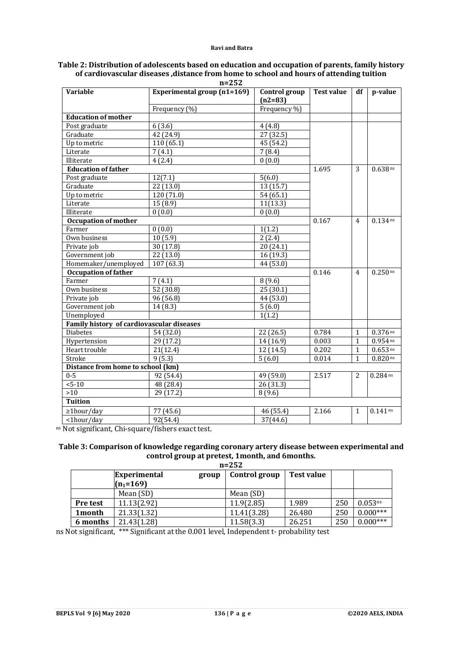| <b>Variable</b>                                  | $11 - 232$<br><b>Experimental group (n1=169)</b><br>Control group |              | <b>Test value</b> | df             | p-value    |
|--------------------------------------------------|-------------------------------------------------------------------|--------------|-------------------|----------------|------------|
|                                                  |                                                                   | $(n2=83)$    |                   |                |            |
|                                                  | Frequency (%)                                                     | Frequency %) |                   |                |            |
| <b>Education of mother</b>                       |                                                                   |              |                   |                |            |
| Post graduate                                    | 6(3.6)                                                            | 4(4.8)       |                   |                |            |
| Graduate                                         | 42 (24.9)                                                         | 27 (32.5)    |                   |                |            |
| Up to metric                                     | 110(65.1)                                                         | 45 (54.2)    |                   |                |            |
| Literate                                         | 7(4.1)                                                            | 7(8.4)       |                   |                |            |
| Illiterate                                       | 4(2.4)                                                            | 0(0.0)       |                   |                |            |
| <b>Education of father</b>                       |                                                                   |              | 1.695             | 3              | $0.638$ ns |
| Post graduate                                    | 12(7.1)                                                           | 5(6.0)       |                   |                |            |
| Graduate                                         | 22(13.0)                                                          | 13 (15.7)    |                   |                |            |
| Up to metric                                     | 120 (71.0)                                                        | 54 (65.1)    |                   |                |            |
| Literate                                         | 15(8.9)                                                           | 11(13.3)     |                   |                |            |
| Illiterate                                       | 0(0.0)                                                            | 0(0.0)       |                   |                |            |
| <b>Occupation of mother</b>                      |                                                                   |              | 0.167             | $\overline{4}$ | $0.134$ ns |
| Farmer                                           | 0(0.0)                                                            | 1(1.2)       |                   |                |            |
| Own business                                     | 10(5.9)                                                           | 2(2.4)       |                   |                |            |
| Private job                                      | 30(17.8)                                                          | 20 (24.1)    |                   |                |            |
| Government job                                   | 22 (13.0)                                                         | 16 (19.3)    |                   |                |            |
| Homemaker/unemployed                             | $\overline{107}$ (63.3)                                           | 44 (53.0)    |                   |                |            |
| <b>Occupation of father</b>                      |                                                                   |              | 0.146             | $\overline{4}$ | $0.250$ ns |
| Farmer                                           | 7(4.1)                                                            | 8(9.6)       |                   |                |            |
| Own business                                     | 52(30.8)                                                          | 25(30.1)     |                   |                |            |
| Private job                                      | 96 (56.8)                                                         | 44 (53.0)    |                   |                |            |
| Government job                                   | 14(8.3)                                                           | 5(6.0)       |                   |                |            |
| Unemployed                                       |                                                                   | 1(1.2)       |                   |                |            |
| <b>Family history of cardiovascular diseases</b> |                                                                   |              |                   |                |            |
| <b>Diabetes</b>                                  | 54 (32.0)                                                         | 22 (26.5)    | 0.784             | 1              | $0.376$ ns |
| Hypertension                                     | 29 (17.2)                                                         | 14 (16.9)    | 0.003             | $\mathbf{1}$   | $0.954$ ns |
| Heart trouble                                    | 21(12.4)                                                          | 12 (14.5)    | 0.202             | $\mathbf{1}$   | $0.653$ ns |
| Stroke                                           | 9(5.3)                                                            | 5(6.0)       | 0.014             | $\mathbf{1}$   | $0.820$ ns |
| Distance from home to school (km)                |                                                                   |              |                   |                |            |
| $0 - 5$                                          | 92 (54.4)                                                         | 49 (59.0)    | 2.517             | 2              | $0.284$ ns |
| $5 - 10$                                         | 48 (28.4)                                                         | 26(31.3)     |                   |                |            |
| >10                                              | 29 (17.2)                                                         | 8(9.6)       |                   |                |            |
| <b>Tuition</b>                                   |                                                                   |              |                   |                |            |
| $\geq 1$ hour/day                                | 77 (45.6)                                                         | 46 (55.4)    | 2.166             | $\mathbf{1}$   | $0.141$ ns |
| <1hour/day                                       | 92(54.4)                                                          | 37(44.6)     |                   |                |            |
|                                                  |                                                                   |              |                   |                |            |

#### **Table 2: Distribution of adolescents based on education and occupation of parents, family history of cardiovascular diseases ,distance from home to school and hours of attending tuition n=252**

ns Not significant, Chi-square/fishers exact test.

# **Table 3: Comparison of knowledge regarding coronary artery disease between experimental and control group at pretest, 1month, and 6months.**

|          | $n = 252$                    |               |            |     |                     |  |  |  |
|----------|------------------------------|---------------|------------|-----|---------------------|--|--|--|
|          | <b>Experimental</b><br>group | Control group | Test value |     |                     |  |  |  |
|          | $(n_1=169)$                  |               |            |     |                     |  |  |  |
|          | Mean (SD)                    | Mean (SD)     |            |     |                     |  |  |  |
| Pre test | 11.13(2.92)                  | 11.9(2.85)    | 1.989      | 250 | 0.053 <sup>ns</sup> |  |  |  |
| 1month   | 21.33(1.32)                  | 11.41(3.28)   | 26.480     | 250 | $0.000***$          |  |  |  |
| 6 months | 21.43(1.28)                  | 11.58(3.3)    | 26.251     | 250 | $0.000***$          |  |  |  |

ns Not significant, \*\*\* Significant at the 0.001 level, Independent t- probability test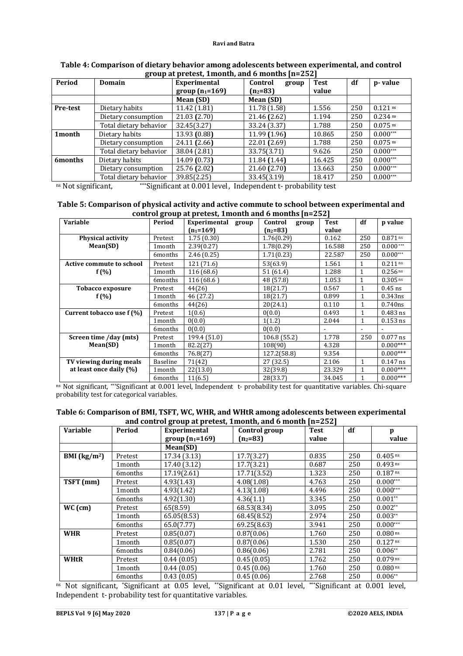|          | $B - 200$ every $A - 200$ every $A - 200$ |                   |                  |             |     |            |  |  |  |
|----------|-------------------------------------------|-------------------|------------------|-------------|-----|------------|--|--|--|
| Period   | Domain                                    | Experimental      | Control<br>group | <b>Test</b> | df  | p-value    |  |  |  |
|          |                                           | group $(n_1=169)$ | $(n_2=83)$       | value       |     |            |  |  |  |
|          |                                           | Mean (SD)         | Mean (SD)        |             |     |            |  |  |  |
| Pre-test | Dietary habits                            | 11.42 (1.81)      | 11.78 (1.58)     | 1.556       | 250 | $0.121$ ns |  |  |  |
|          | Dietary consumption                       | 21.03 (2.70)      | 21.46 (2.62)     | 1.194       | 250 | $0.234$ ns |  |  |  |
|          | Total dietary behavior                    | 32.45(3.27)       | 33.24 (3.37)     | 1.788       | 250 | $0.075$ ns |  |  |  |
| 1 month  | Dietary habits                            | 13.93 (0.88)      | $11.99$ $(1.96)$ | 10.865      | 250 | $0.000***$ |  |  |  |
|          | Dietary consumption                       | 24.11 (2.66)      | 22.01 (2.69)     | 1.788       | 250 | $0.075$ ns |  |  |  |
|          | Total dietary behavior                    | 38.04 (2.81)      | 33.75(3.71)      | 9.626       | 250 | $0.000***$ |  |  |  |
| 6months  | Dietary habits                            | 14.09 (0.73)      | 11.84(1.44)      | 16.425      | 250 | $0.000***$ |  |  |  |
|          | Dietary consumption                       | 25.76 (2.02)      | 21.60(2.70)      | 13.663      | 250 | $0.000***$ |  |  |  |
|          | Total dietary behavior                    | 39.85(2.25)       | 33.45(3.19)      | 18.417      | 250 | $0.000***$ |  |  |  |

### **Table 4: Comparison of dietary behavior among adolescents between experimental, and control group at pretest, 1month, and 6 months [n=252]**

ns Not significant, \*\*\*Significant at 0.001 level, Independent t- probability test

# **Table 5: Comparison of physical activity and active commute to school between experimental and control group at pretest, 1month and 6 months [n=252]**

| <b>Variable</b>                 | Period   | $\frac{1}{2}$<br>Experimental group | Control<br>group | Test   | df           | p value               |
|---------------------------------|----------|-------------------------------------|------------------|--------|--------------|-----------------------|
|                                 |          | $(n_1=169)$                         | $(n_2=83)$       | value  |              |                       |
| <b>Physical activity</b>        | Pretest  | 1.75(0.30)                          | 1.76(0.29)       | 0.162  | 250          | $0.871$ ns            |
| Mean(SD)                        | 1month   | 2.39(0.27)                          | 1.78(0.29)       | 16.588 | 250          | $0.000***$            |
|                                 | 6months  | 2.46(0.25)                          | 1.71(0.23)       | 22.587 | 250          | $0.000***$            |
| <b>Active commute to school</b> | Pretest  | 121 (71.6)                          | 53(63.9)         | 1.561  | 1            | $0.211$ ns            |
| f(%)                            | 1month   | 116 (68.6)                          | 51(61.4)         | 1.288  | 1            | $0.256$ <sup>ns</sup> |
|                                 | 6months  | 116(68.6)                           | 48 (57.8)        | 1.053  | 1            | $0.305$ <sup>ns</sup> |
| <b>Tobacco exposure</b>         | Pretest  | 44(26)                              | 18(21.7)         | 0.567  | $\mathbf{1}$ | $0.45$ ns             |
| $f(\% )$                        | 1month   | 46 (27.2)                           | 18(21.7)         | 0.899  | 1            | 0.343ns               |
|                                 | 6months  | 44(26)                              | 20(24.1)         | 0.110  | $\mathbf{1}$ | 0.740ns               |
| Current tobacco use f (%)       | Pretest  | 1(0.6)                              | 0(0.0)           | 0.493  | $\mathbf{1}$ | $0.483$ ns            |
|                                 | 1month   | 0(0.0)                              | 1(1.2)           | 2.044  | 1            | $0.153$ ns            |
|                                 | 6months  | 0(0.0)                              | 0(0.0)           |        |              |                       |
| Screen time /day (mts)          | Pretest  | 199.4 (51.0)                        | 106.8 (55.2)     | 1.778  | 250          | $0.077$ ns            |
| Mean(SD)                        | 1month   | 82.2(27)                            | 108(90)          | 4.328  |              | $0.000***$            |
|                                 | 6months  | 76.8(27)                            | 127.2(58.8)      | 9.354  |              | $0.000***$            |
| TV viewing during meals         | Baseline | 71(42)                              | 27(32.5)         | 2.106  | $\mathbf{1}$ | $0.147$ ns            |
| at least once daily (%)         | 1month   | 22(13.0)                            | 32(39.8)         | 23.329 | 1            | $0.000***$            |
|                                 | 6months  | 11(6.5)                             | 28(33.7)         | 34.045 | $\mathbf{1}$ | $0.000***$            |

ns Not significant, \*\*\*Significant at 0.001 level, Independent t- probability test for quantitative variables. Chi-square probability test for categorical variables.

### **Table 6: Comparison of BMI, TSFT, WC, WHR, and WHtR among adolescents between experimental and control group at pretest, 1month, and 6 month [n=252]**

| <b>Variable</b> | Period  | Experimental      | Control group | <b>Test</b> | df  | p                     |
|-----------------|---------|-------------------|---------------|-------------|-----|-----------------------|
|                 |         | group $(n_1=169)$ | $(n_2=83)$    | value       |     | value                 |
|                 |         | Mean(SD)          |               |             |     |                       |
| BMI $(kg/m2)$   | Pretest | 17.34 (3.13)      | 17.7(3.27)    | 0.835       | 250 | $0.405$ <sup>ns</sup> |
|                 | 1month  | 17.40 (3.12)      | 17.7(3.21)    | 0.687       | 250 | $0.493$ ns            |
|                 | 6months | 17.19(2.61)       | 17.71(3.52)   | 1.323       | 250 | 0.187 <sup>ns</sup>   |
| TSFT (mm)       | Pretest | 4.93(1.43)        | 4.08(1.08)    | 4.763       | 250 | $0.000***$            |
|                 | 1month  | 4.93(1.42)        | 4.13(1.08)    | 4.496       | 250 | $0.000***$            |
|                 | 6months | 4.92(1.30)        | 4.36(1.1)     | 3.345       | 250 | $0.001**$             |
| $WC$ (cm)       | Pretest | 65(8.59)          | 68.53(8.34)   | 3.095       | 250 | $0.002**$             |
|                 | 1month  | 65.05(8.53)       | 68.45(8.52)   | 2.974       | 250 | $0.003**$             |
|                 | 6months | 65.0(7.77)        | 69.25(8.63)   | 3.941       | 250 | $0.000***$            |
| <b>WHR</b>      | Pretest | 0.85(0.07)        | 0.87(0.06)    | 1.760       | 250 | $0.080$ ns            |
|                 | 1 month | 0.85(0.07)        | 0.87(0.06)    | 1.530       | 250 | $0.127$ ns            |
|                 | 6months | 0.84(0.06)        | 0.86(0.06)    | 2.781       | 250 | $0.006**$             |
| <b>WHtR</b>     | Pretest | 0.44(0.05)        | 0.45(0.05)    | 1.762       | 250 | $0.079$ ns            |
|                 | 1month  | 0.44(0.05)        | 0.45(0.06)    | 1.760       | 250 | $0.080$ ns            |
|                 | 6months | 0.43(0.05)        | 0.45(0.06)    | 2.768       | 250 | $0.006**$             |

ns Not significant, \*Significant at 0.05 level, \*\*Significant at 0.01 level, \*\*\*Significant at 0.001 level, Independent t- probability test for quantitative variables.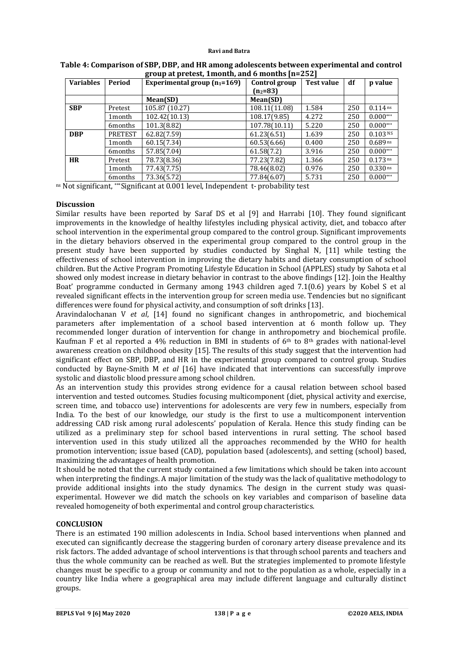| $-2220 - 2200 - 2200$ |                      |                                |               |            |     |                       |  |  |
|-----------------------|----------------------|--------------------------------|---------------|------------|-----|-----------------------|--|--|
| <b>Variables</b>      | Period               | Experimental group $(n_1=169)$ | Control group | Test value | df  | p value               |  |  |
|                       |                      |                                | $(n_2=83)$    |            |     |                       |  |  |
|                       |                      | Mean(SD)                       | Mean(SD)      |            |     |                       |  |  |
| <b>SBP</b>            | Pretest              | 105.87 (10.27)                 | 108.11(11.08) | 1.584      | 250 | $0.114$ ns            |  |  |
|                       | 1 <sub>month</sub>   | 102.42(10.13)                  | 108.17(9.85)  | 4.272      | 250 | $0.000***$            |  |  |
|                       | 6 <sub>m</sub> onths | 101.3(8.82)                    | 107.78(10.11) | 5.220      | 250 | $0.000***$            |  |  |
| <b>DBP</b>            | <b>PRETEST</b>       | 62.82(7.59)                    | 61.23(6.51)   | 1.639      | 250 | 0.103 N <sub>S</sub>  |  |  |
|                       | 1 month              | 60.15(7.34)                    | 60.53(6.66)   | 0.400      | 250 | $0.689$ ns            |  |  |
|                       | 6 <sub>m</sub> onths | 57.85(7.04)                    | 61.58(7.2)    | 3.916      | 250 | $0.000***$            |  |  |
| <b>HR</b>             | Pretest              | 78.73(8.36)                    | 77.23(7.82)   | 1.366      | 250 | $0.173$ ns            |  |  |
|                       | 1 <sub>month</sub>   | 77.43(7.75)                    | 78.46(8.02)   | 0.976      | 250 | $0.330 \,\mathrm{ns}$ |  |  |
|                       | 6months              | 73.36(5.72)                    | 77.84(6.07)   | 5.731      | 250 | $0.000***$            |  |  |

### **Table 4: Comparison of SBP, DBP, and HR among adolescents between experimental and control group at pretest, 1month, and 6 months [n=252]**

ns Not significant, \*\*\*Significant at 0.001 level, Independent t- probability test

# **Discussion**

Similar results have been reported by Saraf DS et al [9] and Harrabi [10]. They found significant improvements in the knowledge of healthy lifestyles including physical activity, diet, and tobacco after school intervention in the experimental group compared to the control group. Significant improvements in the dietary behaviors observed in the experimental group compared to the control group in the present study have been supported by studies conducted by Singhal N, [11] while testing the effectiveness of school intervention in improving the dietary habits and dietary consumption of school children. But the Active Program Promoting Lifestyle Education in School (APPLES) study by Sahota et al showed only modest increase in dietary behavior in contrast to the above findings [12]. Join the Healthy Boat' programme conducted in Germany among 1943 children aged 7.1(0.6) years by Kobel S et al revealed significant effects in the intervention group for screen media use. Tendencies but no significant differences were found for physical activity, and consumption of soft drinks [13].

Aravindalochanan V *et al*, [14] found no significant changes in anthropometric, and biochemical parameters after implementation of a school based intervention at 6 month follow up. They recommended longer duration of intervention for change in anthropometry and biochemical profile. Kaufman F et al reported a 4% reduction in BMI in students of  $6<sup>th</sup>$  to  $8<sup>th</sup>$  grades with national-level awareness creation on childhood obesity [15]. The results of this study suggest that the intervention had significant effect on SBP, DBP, and HR in the experimental group compared to control group. Studies conducted by Bayne-Smith M *et al* [16] have indicated that interventions can successfully improve systolic and diastolic blood pressure among school children.

As an intervention study this provides strong evidence for a causal relation between school based intervention and tested outcomes. Studies focusing multicomponent (diet, physical activity and exercise, screen time, and tobacco use) interventions for adolescents are very few in numbers, especially from India. To the best of our knowledge, our study is the first to use a multicomponent intervention addressing CAD risk among rural adolescents' population of Kerala. Hence this study finding can be utilized as a preliminary step for school based interventions in rural setting. The school based intervention used in this study utilized all the approaches recommended by the WHO for health promotion intervention; issue based (CAD), population based (adolescents), and setting (school) based, maximizing the advantages of health promotion.

It should be noted that the current study contained a few limitations which should be taken into account when interpreting the findings. A major limitation of the study was the lack of qualitative methodology to provide additional insights into the study dynamics. The design in the current study was quasiexperimental. However we did match the schools on key variables and comparison of baseline data revealed homogeneity of both experimental and control group characteristics.

# **CONCLUSION**

There is an estimated 190 million adolescents in India. School based interventions when planned and executed can significantly decrease the staggering burden of coronary artery disease prevalence and its risk factors. The added advantage of school interventions is that through school parents and teachers and thus the whole community can be reached as well. But the strategies implemented to promote lifestyle changes must be specific to a group or community and not to the population as a whole, especially in a country like India where a geographical area may include different language and culturally distinct groups.